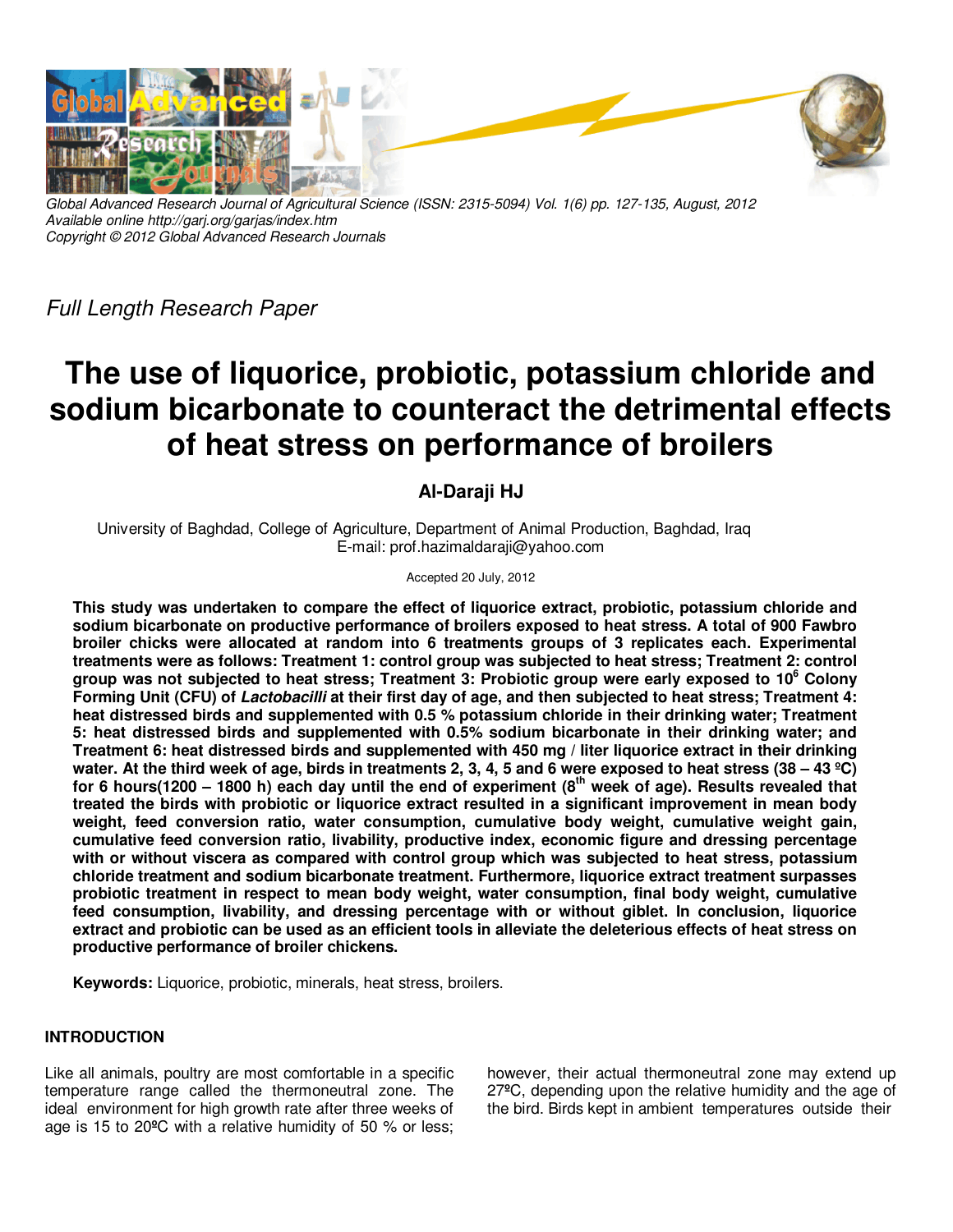

*Global Advanced Research Journal of Agricultural Science (ISSN: 2315-5094) Vol. 1(6) pp. 127-135, August, 2012 Available online http://garj.org/garjas/index.htm Copyright © 2012 Global Advanced Research Journals*

*Full Length Research Paper*

# **The use of liquorice, probiotic, potassium chloride and sodium bicarbonate to counteract the detrimental effects of heat stress on performance of broilers**

# **Al-Daraji HJ**

University of Baghdad, College of Agriculture, Department of Animal Production, Baghdad, Iraq E-mail: prof.hazimaldaraji@yahoo.com

Accepted 20 July, 2012

**This study was undertaken to compare the effect of liquorice extract, probiotic, potassium chloride and sodium bicarbonate on productive performance of broilers exposed to heat stress. A total of 900 Fawbro broiler chicks were allocated at random into 6 treatments groups of 3 replicates each. Experimental treatments were as follows: Treatment 1: control group was subjected to heat stress; Treatment 2: control group was not subjected to heat stress; Treatment 3: Probiotic group were early exposed to 10<sup>6</sup> Colony Forming Unit (CFU) of Lactobacilli at their first day of age, and then subjected to heat stress; Treatment 4: heat distressed birds and supplemented with 0.5 % potassium chloride in their drinking water; Treatment 5: heat distressed birds and supplemented with 0.5% sodium bicarbonate in their drinking water; and Treatment 6: heat distressed birds and supplemented with 450 mg / liter liquorice extract in their drinking water. At the third week of age, birds in treatments 2, 3, 4, 5 and 6 were exposed to heat stress (38 – 43 ºC) for 6 hours(1200 – 1800 h) each day until the end of experiment (8th week of age). Results revealed that treated the birds with probiotic or liquorice extract resulted in a significant improvement in mean body weight, feed conversion ratio, water consumption, cumulative body weight, cumulative weight gain, cumulative feed conversion ratio, livability, productive index, economic figure and dressing percentage with or without viscera as compared with control group which was subjected to heat stress, potassium chloride treatment and sodium bicarbonate treatment. Furthermore, liquorice extract treatment surpasses probiotic treatment in respect to mean body weight, water consumption, final body weight, cumulative feed consumption, livability, and dressing percentage with or without giblet. In conclusion, liquorice extract and probiotic can be used as an efficient tools in alleviate the deleterious effects of heat stress on productive performance of broiler chickens.** 

**Keywords:** Liquorice, probiotic, minerals, heat stress, broilers.

## **INTRODUCTION**

Like all animals, poultry are most comfortable in a specific temperature range called the thermoneutral zone. The ideal environment for high growth rate after three weeks of age is 15 to 20**º**C with a relative humidity of 50 % or less;

however, their actual thermoneutral zone may extend up 27**º**C, depending upon the relative humidity and the age of the bird. Birds kept in ambient temperatures outside their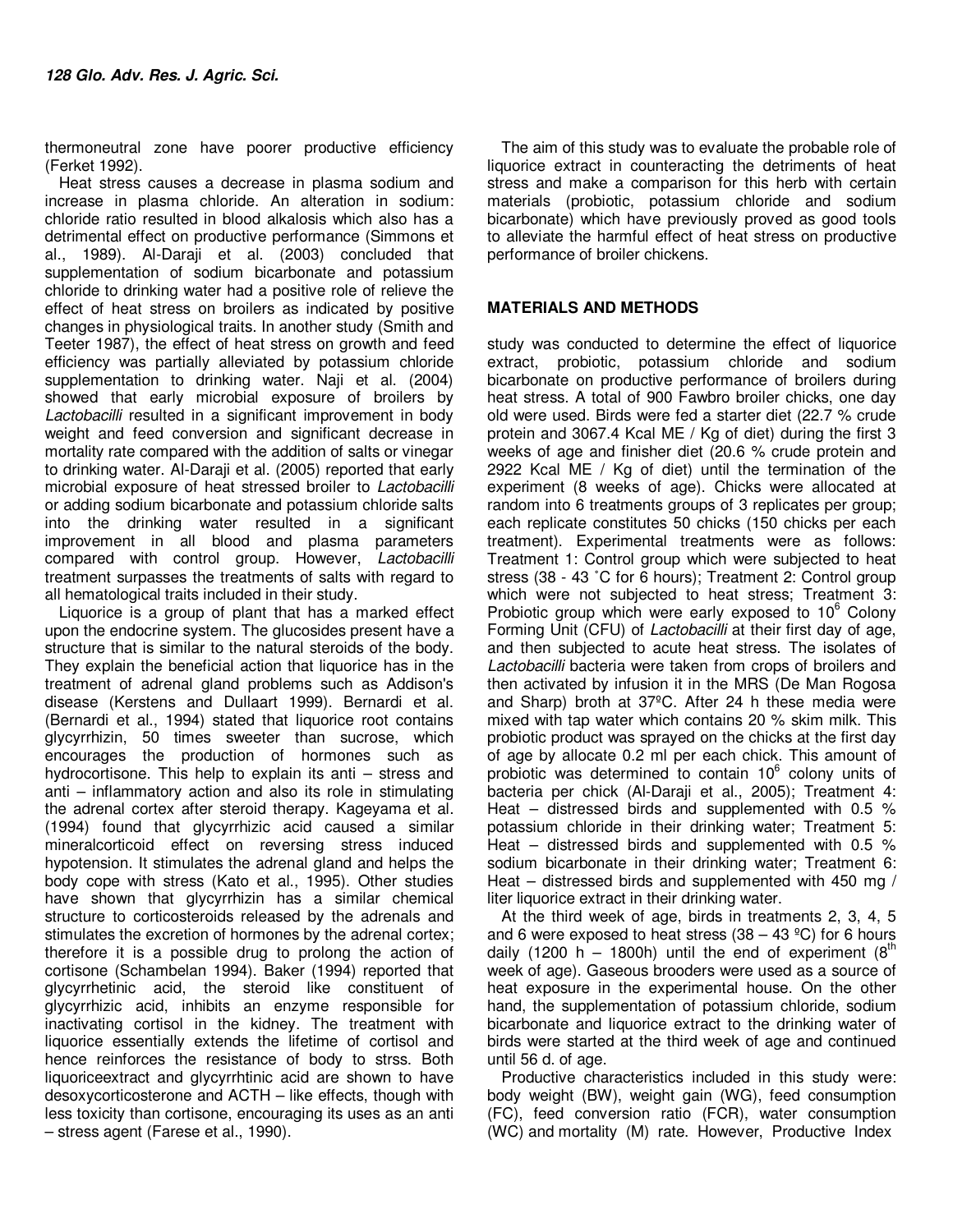thermoneutral zone have poorer productive efficiency (Ferket 1992).

Heat stress causes a decrease in plasma sodium and increase in plasma chloride. An alteration in sodium: chloride ratio resulted in blood alkalosis which also has a detrimental effect on productive performance (Simmons et al., 1989). Al-Daraji et al. (2003) concluded that supplementation of sodium bicarbonate and potassium chloride to drinking water had a positive role of relieve the effect of heat stress on broilers as indicated by positive changes in physiological traits. In another study (Smith and Teeter 1987), the effect of heat stress on growth and feed efficiency was partially alleviated by potassium chloride supplementation to drinking water. Naji et al. (2004) showed that early microbial exposure of broilers by *Lactobacilli* resulted in a significant improvement in body weight and feed conversion and significant decrease in mortality rate compared with the addition of salts or vinegar to drinking water. Al-Daraji et al. (2005) reported that early microbial exposure of heat stressed broiler to *Lactobacilli* or adding sodium bicarbonate and potassium chloride salts into the drinking water resulted in a significant improvement in all blood and plasma parameters compared with control group. However, *Lactobacilli* treatment surpasses the treatments of salts with regard to all hematological traits included in their study.

Liquorice is a group of plant that has a marked effect upon the endocrine system. The glucosides present have a structure that is similar to the natural steroids of the body. They explain the beneficial action that liquorice has in the treatment of adrenal gland problems such as Addison's disease (Kerstens and Dullaart 1999). Bernardi et al. (Bernardi et al., 1994) stated that liquorice root contains glycyrrhizin, 50 times sweeter than sucrose, which encourages the production of hormones such as hydrocortisone. This help to explain its anti – stress and anti – inflammatory action and also its role in stimulating the adrenal cortex after steroid therapy. Kageyama et al. (1994) found that glycyrrhizic acid caused a similar mineralcorticoid effect on reversing stress induced hypotension. It stimulates the adrenal gland and helps the body cope with stress (Kato et al., 1995). Other studies have shown that glycyrrhizin has a similar chemical structure to corticosteroids released by the adrenals and stimulates the excretion of hormones by the adrenal cortex; therefore it is a possible drug to prolong the action of cortisone (Schambelan 1994). Baker (1994) reported that glycyrrhetinic acid, the steroid like constituent of glycyrrhizic acid, inhibits an enzyme responsible for inactivating cortisol in the kidney. The treatment with liquorice essentially extends the lifetime of cortisol and hence reinforces the resistance of body to strss. Both liquoriceextract and glycyrrhtinic acid are shown to have desoxycorticosterone and ACTH – like effects, though with less toxicity than cortisone, encouraging its uses as an anti – stress agent (Farese et al., 1990).

The aim of this study was to evaluate the probable role of liquorice extract in counteracting the detriments of heat stress and make a comparison for this herb with certain materials (probiotic, potassium chloride and sodium bicarbonate) which have previously proved as good tools to alleviate the harmful effect of heat stress on productive performance of broiler chickens.

### **MATERIALS AND METHODS**

study was conducted to determine the effect of liquorice extract, probiotic, potassium chloride and sodium bicarbonate on productive performance of broilers during heat stress. A total of 900 Fawbro broiler chicks, one day old were used. Birds were fed a starter diet (22.7 % crude protein and 3067.4 Kcal ME / Kg of diet) during the first 3 weeks of age and finisher diet (20.6 % crude protein and 2922 Kcal ME / Kg of diet) until the termination of the experiment (8 weeks of age). Chicks were allocated at random into 6 treatments groups of 3 replicates per group; each replicate constitutes 50 chicks (150 chicks per each treatment). Experimental treatments were as follows: Treatment 1: Control group which were subjected to heat stress (38 - 43 ˚C for 6 hours); Treatment 2: Control group which were not subjected to heat stress; Treatment 3: Probiotic group which were early exposed to  $10^6$  Colony Forming Unit (CFU) of *Lactobacilli* at their first day of age, and then subjected to acute heat stress. The isolates of *Lactobacilli* bacteria were taken from crops of broilers and then activated by infusion it in the MRS (De Man Rogosa and Sharp) broth at 37ºC. After 24 h these media were mixed with tap water which contains 20 % skim milk. This probiotic product was sprayed on the chicks at the first day of age by allocate 0.2 ml per each chick. This amount of probiotic was determined to contain 10<sup>6</sup> colony units of bacteria per chick (Al-Daraji et al., 2005); Treatment 4: Heat – distressed birds and supplemented with 0.5 % potassium chloride in their drinking water; Treatment 5: Heat – distressed birds and supplemented with 0.5 % sodium bicarbonate in their drinking water; Treatment 6: Heat – distressed birds and supplemented with 450 mg / liter liquorice extract in their drinking water.

At the third week of age, birds in treatments 2, 3, 4, 5 and 6 were exposed to heat stress  $(38 - 43 \degree C)$  for 6 hours daily (1200 h – 1800h) until the end of experiment (8<sup>th</sup> week of age). Gaseous brooders were used as a source of heat exposure in the experimental house. On the other hand, the supplementation of potassium chloride, sodium bicarbonate and liquorice extract to the drinking water of birds were started at the third week of age and continued until 56 d. of age.

Productive characteristics included in this study were: body weight (BW), weight gain (WG), feed consumption (FC), feed conversion ratio (FCR), water consumption (WC) and mortality (M) rate. However, Productive Index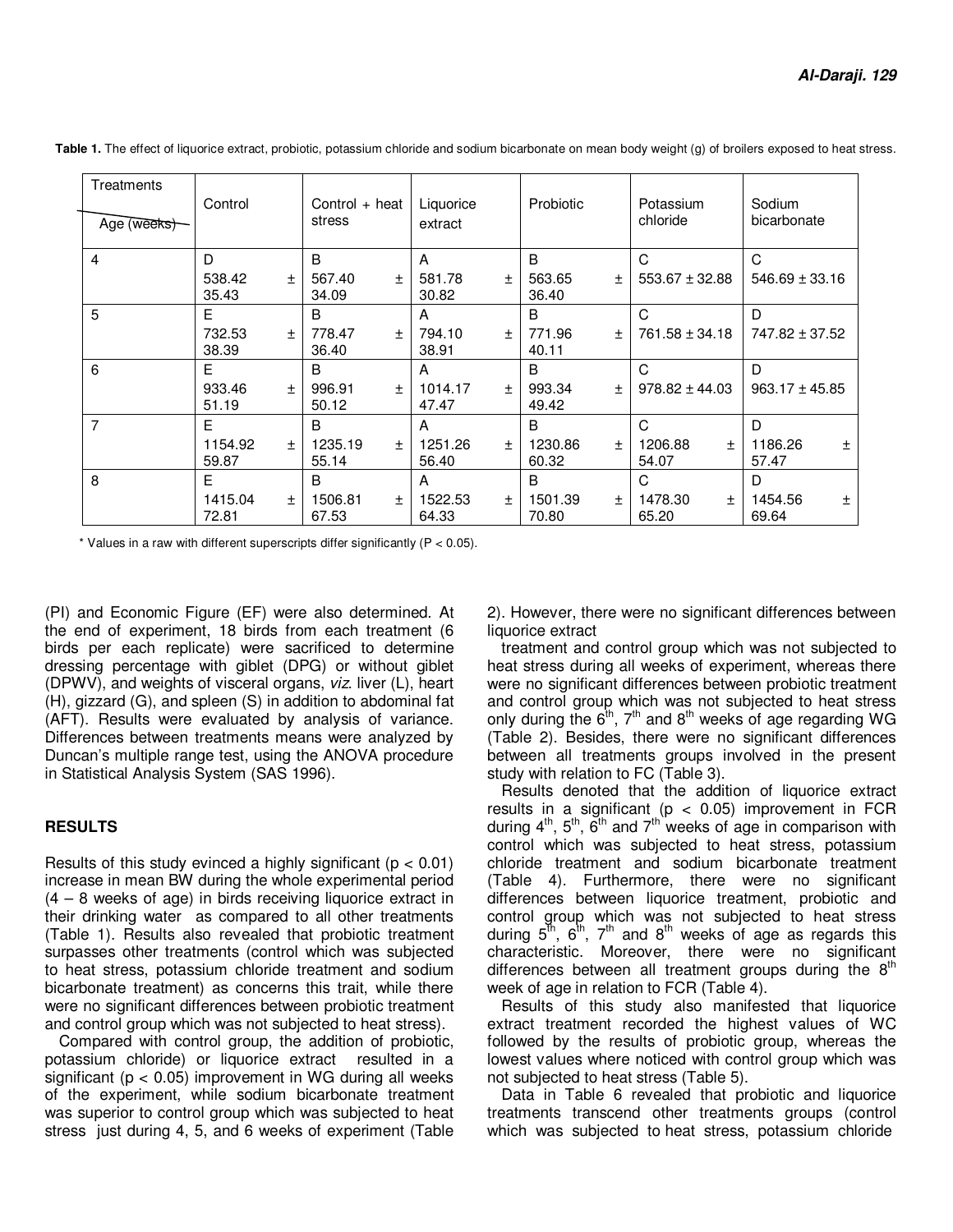| Treatments<br>Age (weeks) | Control                   | Control + heat<br>stress  | Liquorice<br>extract      | Probiotic                | Potassium<br>chloride     | Sodium<br>bicarbonate   |
|---------------------------|---------------------------|---------------------------|---------------------------|--------------------------|---------------------------|-------------------------|
| 4                         | D<br>538.42<br>$\pm$      | B<br>567.40<br>±.         | A<br>581.78<br>Ŧ          | B<br>563.65<br>土         | C<br>$553.67 \pm 32.88$   | C<br>$546.69 \pm 33.16$ |
|                           | 35.43                     | 34.09                     | 30.82                     | 36.40                    |                           |                         |
| 5                         | E.                        | B                         | A                         | B                        | C                         | D                       |
|                           | 732.53<br>土<br>38.39      | 778.47<br>$\pm$<br>36.40  | 794.10<br>$\pm$<br>38.91  | 771.96<br>土<br>40.11     | $761.58 \pm 34.18$        | 747.82 ± 37.52          |
| 6                         | E.                        | <sub>B</sub>              | A                         | <sub>B</sub>             | C                         | D                       |
|                           | 933.46<br>$\pm$<br>51.19  | 996.91<br>$\pm$<br>50.12  | 1014.17<br>$\pm$<br>47.47 | 993.34<br>$\pm$<br>49.42 | $978.82 \pm 44.03$        | $963.17 \pm 45.85$      |
| $\overline{7}$            | E.                        | B                         | A                         | B                        | C                         | D                       |
|                           | 1154.92<br>$+$<br>59.87   | 1235.19<br>$\pm$<br>55.14 | 1251.26<br>$\pm$<br>56.40 | 1230.86<br>土<br>60.32    | 1206.88<br>$\pm$<br>54.07 | 1186.26<br>土<br>57.47   |
| 8                         | Е                         | B                         | A                         | B                        | C                         | D                       |
|                           | 1415.04<br>$\pm$<br>72.81 | 1506.81<br>$\pm$<br>67.53 | 1522.53<br>$\pm$<br>64.33 | 1501.39<br>土<br>70.80    | 1478.30<br>$\pm$<br>65.20 | 1454.56<br>Ŧ<br>69.64   |

**Table 1.** The effect of liquorice extract, probiotic, potassium chloride and sodium bicarbonate on mean body weight (g) of broilers exposed to heat stress.

 $*$  Values in a raw with different superscripts differ significantly ( $P < 0.05$ ).

(PI) and Economic Figure (EF) were also determined. At the end of experiment, 18 birds from each treatment (6 birds per each replicate) were sacrificed to determine dressing percentage with giblet (DPG) or without giblet (DPWV), and weights of visceral organs, *viz*. liver (L), heart (H), gizzard (G), and spleen (S) in addition to abdominal fat (AFT). Results were evaluated by analysis of variance. Differences between treatments means were analyzed by Duncan's multiple range test, using the ANOVA procedure in Statistical Analysis System (SAS 1996).

#### **RESULTS**

Results of this study evinced a highly significant ( $p < 0.01$ ) increase in mean BW during the whole experimental period (4 – 8 weeks of age) in birds receiving liquorice extract in their drinking water as compared to all other treatments (Table 1). Results also revealed that probiotic treatment surpasses other treatments (control which was subjected to heat stress, potassium chloride treatment and sodium bicarbonate treatment) as concerns this trait, while there were no significant differences between probiotic treatment and control group which was not subjected to heat stress).

Compared with control group, the addition of probiotic, potassium chloride) or liquorice extract resulted in a significant ( $p < 0.05$ ) improvement in WG during all weeks of the experiment, while sodium bicarbonate treatment was superior to control group which was subjected to heat stress just during 4, 5, and 6 weeks of experiment (Table

2). However, there were no significant differences between liquorice extract

treatment and control group which was not subjected to heat stress during all weeks of experiment, whereas there were no significant differences between probiotic treatment and control group which was not subjected to heat stress only during the  $6<sup>th</sup>$ ,  $7<sup>th</sup>$  and  $8<sup>th</sup>$  weeks of age regarding WG (Table 2). Besides, there were no significant differences between all treatments groups involved in the present study with relation to FC (Table 3).

Results denoted that the addition of liquorice extract results in a significant ( $p < 0.05$ ) improvement in FCR during  $4^{\text{th}}$ ,  $5^{\text{th}}$ ,  $6^{\text{th}}$  and  $7^{\text{th}}$  weeks of age in comparison with control which was subjected to heat stress, potassium chloride treatment and sodium bicarbonate treatment (Table 4). Furthermore, there were no significant differences between liquorice treatment, probiotic and control group which was not subjected to heat stress during  $5^{th}$ ,  $6^{th}$ ,  $7^{th}$  and  $8^{th}$  weeks of age as regards this characteristic. Moreover, there were no significant differences between all treatment groups during the  $8<sup>th</sup>$ week of age in relation to FCR (Table 4).

Results of this study also manifested that liquorice extract treatment recorded the highest values of WC followed by the results of probiotic group, whereas the lowest values where noticed with control group which was not subjected to heat stress (Table 5).

Data in Table 6 revealed that probiotic and liquorice treatments transcend other treatments groups (control which was subjected to heat stress, potassium chloride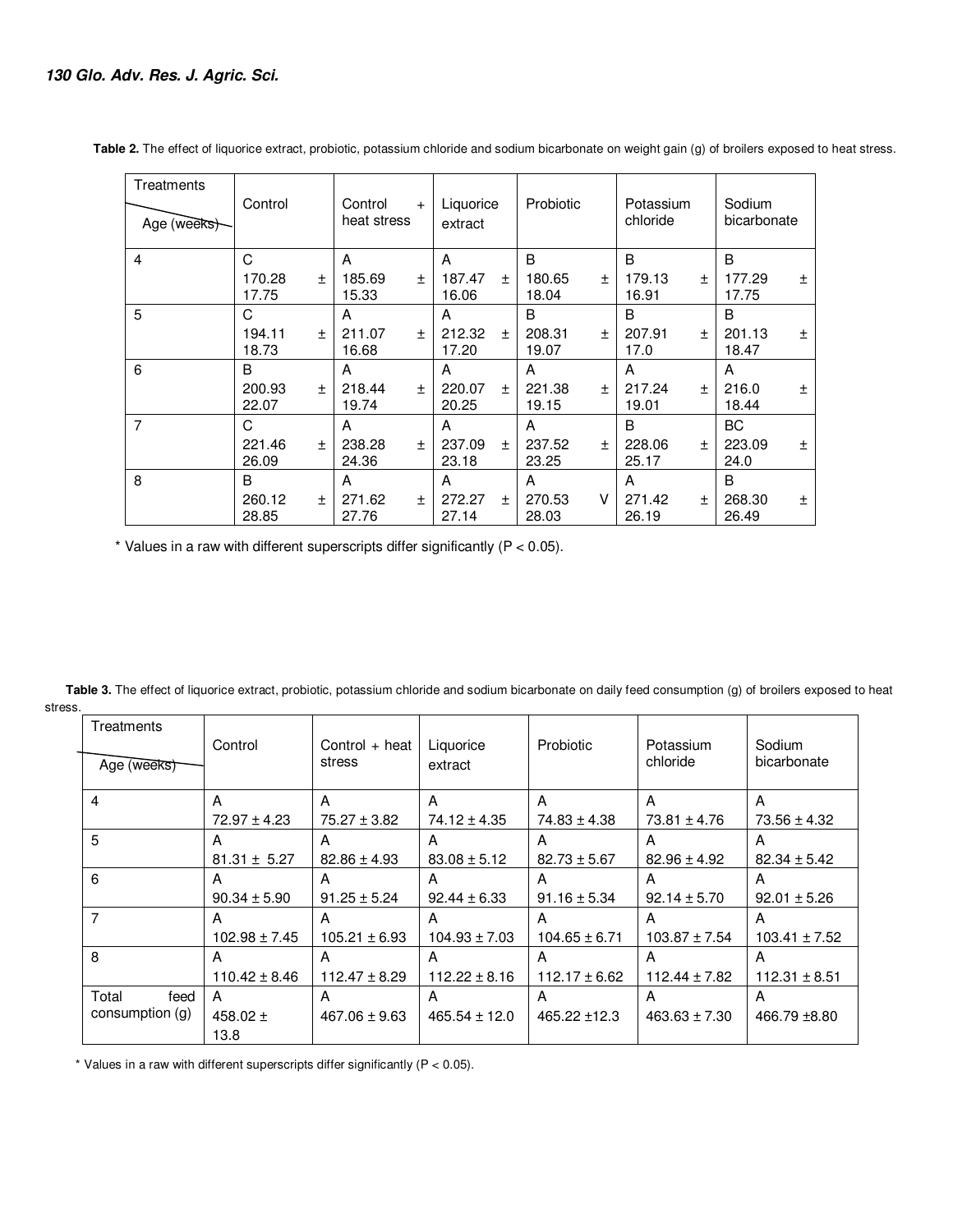| Treatments<br>Age (weeks) | Control              |       | Control<br>heat stress | $+$   | Liquorice<br>extract |           | Probiotic                       |   | Potassium<br>chloride           |       | Sodium<br>bicarbonate           |       |
|---------------------------|----------------------|-------|------------------------|-------|----------------------|-----------|---------------------------------|---|---------------------------------|-------|---------------------------------|-------|
| $\overline{4}$            | C<br>170.28<br>17.75 | $\pm$ | A<br>185.69<br>15.33   | $\pm$ | A<br>187.47<br>16.06 | $\ddot{}$ | <sub>B</sub><br>180.65<br>18.04 | Ŧ | <sub>B</sub><br>179.13<br>16.91 | $\pm$ | <sub>B</sub><br>177.29<br>17.75 | $\pm$ |
| 5                         | C<br>194.11<br>18.73 | $\pm$ | A<br>211.07<br>16.68   | 土     | A<br>212.32<br>17.20 | $\ddot{}$ | B<br>208.31<br>19.07            | 土 | B<br>207.91<br>17.0             | $\pm$ | B<br>201.13<br>18.47            | $\pm$ |
| 6                         | B<br>200.93<br>22.07 | $\pm$ | A<br>218.44<br>19.74   | 土     | A<br>220.07<br>20.25 | $\ddot{}$ | A<br>221.38<br>19.15            | 土 | A<br>217.24<br>19.01            | 土     | A<br>216.0<br>18.44             | Ŧ     |
| $\overline{7}$            | C<br>221.46<br>26.09 | $\pm$ | A<br>238.28<br>24.36   | $\pm$ | A<br>237.09<br>23.18 | $\ddot{}$ | A<br>237.52<br>23.25            | 土 | B<br>228.06<br>25.17            | $\pm$ | <b>BC</b><br>223.09<br>24.0     | $\pm$ |
| 8                         | B<br>260.12<br>28.85 | 土     | A<br>271.62<br>27.76   | 土     | A<br>272.27<br>27.14 | $\ddot{}$ | A<br>270.53<br>28.03            | V | A<br>271.42<br>26.19            | $\pm$ | B<br>268.30<br>26.49            | Ŧ     |

**Table 2.** The effect of liquorice extract, probiotic, potassium chloride and sodium bicarbonate on weight gain (g) of broilers exposed to heat stress.

\* Values in a raw with different superscripts differ significantly (P < 0.05).

|         | Table 3. The effect of liquorice extract, probiotic, potassium chloride and sodium bicarbonate on daily feed consumption (g) of broilers exposed to heat |  |
|---------|----------------------------------------------------------------------------------------------------------------------------------------------------------|--|
| stress. |                                                                                                                                                          |  |

| Treatments<br>Age (weeks) | Control           | Control + heat<br>stress | Liquorice<br>extract | Probiotic         | Potassium<br>chloride | Sodium<br>bicarbonate |
|---------------------------|-------------------|--------------------------|----------------------|-------------------|-----------------------|-----------------------|
| $\overline{4}$            | A                 | A                        | A                    | A                 | A                     | A                     |
|                           | $72.97 \pm 4.23$  | $75.27 \pm 3.82$         | $74.12 \pm 4.35$     | $74.83 \pm 4.38$  | $73.81 \pm 4.76$      | $73.56 \pm 4.32$      |
| 5                         | A                 | A                        | A                    | A                 | A                     | A                     |
|                           | $81.31 \pm 5.27$  | $82.86 \pm 4.93$         | $83.08 \pm 5.12$     | $82.73 \pm 5.67$  | $82.96 \pm 4.92$      | $82.34 \pm 5.42$      |
| 6                         | A                 | A                        | A                    | A                 | A                     | A                     |
|                           | $90.34 \pm 5.90$  | $91.25 \pm 5.24$         | $92.44 \pm 6.33$     | $91.16 \pm 5.34$  | $92.14 \pm 5.70$      | $92.01 \pm 5.26$      |
| 7                         | A                 | A                        | A                    | A                 | A                     | A                     |
|                           | $102.98 \pm 7.45$ | $105.21 \pm 6.93$        | $104.93 \pm 7.03$    | $104.65 \pm 6.71$ | $103.87 \pm 7.54$     | $103.41 \pm 7.52$     |
| 8                         | A                 | A                        | A                    | A                 | А                     | A                     |
|                           | $110.42 \pm 8.46$ | $112.47 \pm 8.29$        | $112.22 \pm 8.16$    | $112.17 \pm 6.62$ | $112.44 \pm 7.82$     | $112.31 \pm 8.51$     |
| Total<br>feed             | A                 | A                        | A                    | A                 | A                     | A                     |
| consumption (g)           | 458.02 $\pm$      | $467.06 \pm 9.63$        | $465.54 \pm 12.0$    | 465.22 ±12.3      | $463.63 \pm 7.30$     | 466.79 ±8.80          |
|                           | 13.8              |                          |                      |                   |                       |                       |

 $*$  Values in a raw with different superscripts differ significantly (P < 0.05).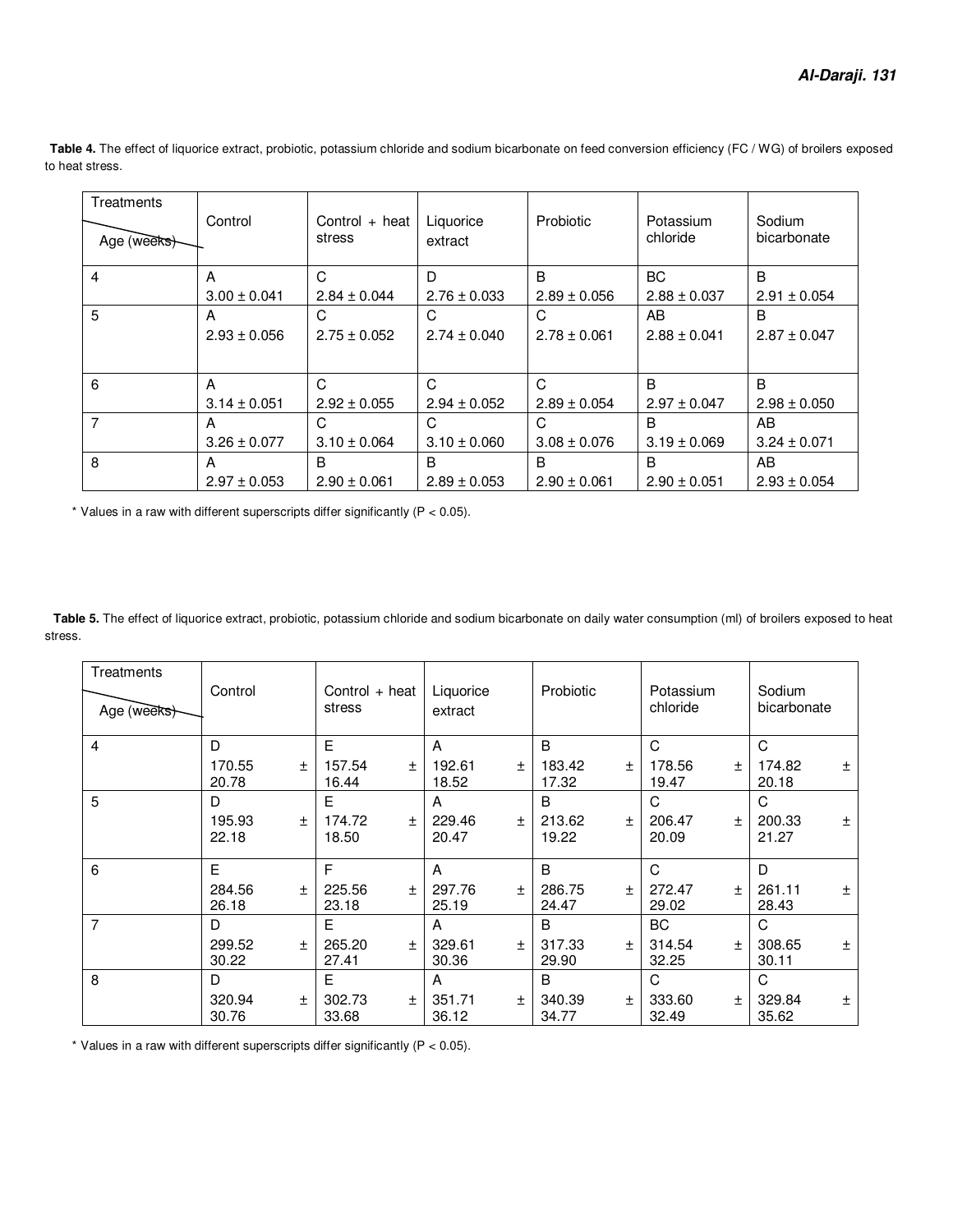| Treatments<br>Age (weeks) | Control          | Control $+$ heat<br>stress | Liquorice<br>extract | Probiotic        | Potassium<br>chloride | Sodium<br>bicarbonate |
|---------------------------|------------------|----------------------------|----------------------|------------------|-----------------------|-----------------------|
| $\overline{4}$            | A                | C                          | D                    | B                | <b>BC</b>             | B                     |
|                           | $3.00 \pm 0.041$ | $2.84 \pm 0.044$           | $2.76 \pm 0.033$     | $2.89 \pm 0.056$ | $2.88 \pm 0.037$      | $2.91 \pm 0.054$      |
| 5                         | A                | C                          | C                    | C                | AB                    | B                     |
|                           | $2.93 \pm 0.056$ | $2.75 \pm 0.052$           | $2.74 \pm 0.040$     | $2.78 \pm 0.061$ | $2.88 \pm 0.041$      | $2.87 \pm 0.047$      |
|                           |                  |                            |                      |                  |                       |                       |
| 6                         | А                | C                          | C                    | C                | B                     | <sub>B</sub>          |
|                           | $3.14 \pm 0.051$ | $2.92 \pm 0.055$           | $2.94 \pm 0.052$     | $2.89 \pm 0.054$ | $2.97 \pm 0.047$      | $2.98 \pm 0.050$      |
| 7                         | A                | C                          | C                    | C                | B                     | AB                    |
|                           | $3.26 \pm 0.077$ | $3.10 \pm 0.064$           | $3.10 \pm 0.060$     | $3.08 \pm 0.076$ | $3.19 \pm 0.069$      | $3.24 \pm 0.071$      |
| 8                         | A                | B                          | B                    | B                | B                     | AB                    |
|                           | $2.97 \pm 0.053$ | $2.90 \pm 0.061$           | $2.89 \pm 0.053$     | $2.90 \pm 0.061$ | $2.90 \pm 0.051$      | $2.93 \pm 0.054$      |

**Table 4.** The effect of liquorice extract, probiotic, potassium chloride and sodium bicarbonate on feed conversion efficiency (FC / WG) of broilers exposed to heat stress.

 $*$  Values in a raw with different superscripts differ significantly (P < 0.05).

Table 5. The effect of liquorice extract, probiotic, potassium chloride and sodium bicarbonate on daily water consumption (ml) of broilers exposed to heat stress.

| Treatments<br>Age (weeks) | Control              |       | Control $+$ heat<br>stress    | Liquorice<br>extract |   | Probiotic                       |       | Potassium<br>chloride          |       | Sodium<br>bicarbonate          |   |
|---------------------------|----------------------|-------|-------------------------------|----------------------|---|---------------------------------|-------|--------------------------------|-------|--------------------------------|---|
| $\overline{4}$            | D<br>170.55<br>20.78 | $\pm$ | E<br>157.54<br>$\pm$<br>16.44 | A<br>192.61<br>18.52 | Ŧ | <sub>B</sub><br>183.42<br>17.32 | $\pm$ | $\mathsf C$<br>178.56<br>19.47 | $\pm$ | C<br>174.82<br>20.18           | Ŧ |
| 5                         | D<br>195.93<br>22.18 | $\pm$ | E<br>174.72<br>$\pm$<br>18.50 | A<br>229.46<br>20.47 | 土 | B<br>213.62<br>19.22            | $\pm$ | C<br>206.47<br>20.09           | $\pm$ | $\mathsf C$<br>200.33<br>21.27 | 土 |
| 6                         | E<br>284.56<br>26.18 | $\pm$ | F<br>225.56<br>$\pm$<br>23.18 | A<br>297.76<br>25.19 | Ŧ | B<br>286.75<br>24.47            | $\pm$ | С<br>272.47<br>29.02           | $\pm$ | D<br>261.11<br>28.43           | Ŧ |
| $\overline{7}$            | D<br>299.52<br>30.22 | $\pm$ | E<br>265.20<br>$\pm$<br>27.41 | A<br>329.61<br>30.36 | 土 | B<br>317.33<br>29.90            | $\pm$ | BC<br>314.54<br>32.25          | $\pm$ | C<br>308.65<br>30.11           | Ŧ |
| 8                         | D<br>320.94<br>30.76 | $\pm$ | E<br>302.73<br>$\pm$<br>33.68 | A<br>351.71<br>36.12 | Ŧ | <sub>B</sub><br>340.39<br>34.77 | $\pm$ | C<br>333.60<br>32.49           | $\pm$ | C<br>329.84<br>35.62           | Ŧ |

 $*$  Values in a raw with different superscripts differ significantly (P < 0.05).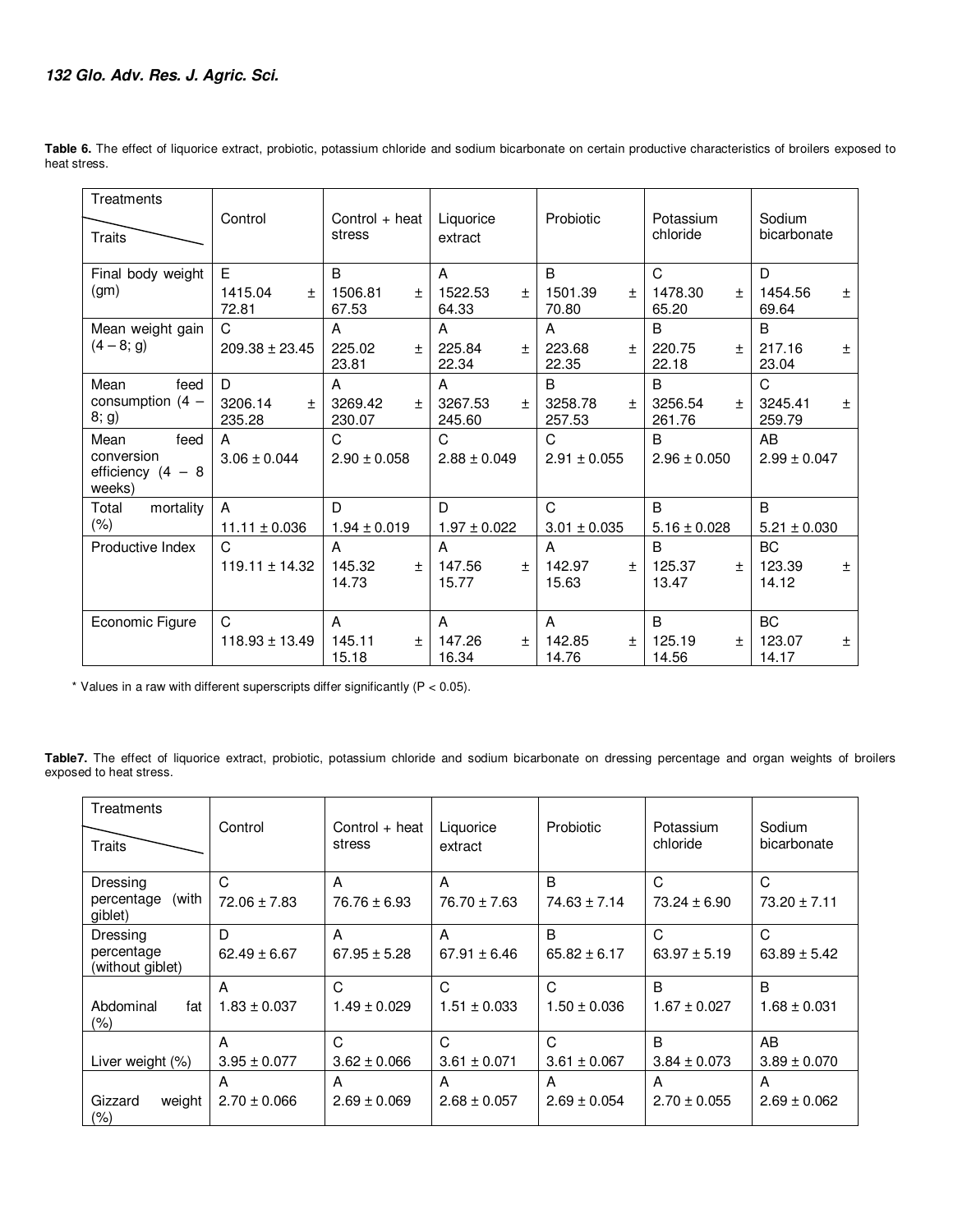#### **132 Glo. Adv. Res. J. Agric. Sci.**

| Treatments<br><b>Traits</b>                  | Control                    | Control + heat<br>stress  | Liquorice<br>extract           | Probiotic                  | Potassium<br>chloride      | Sodium<br>bicarbonate      |
|----------------------------------------------|----------------------------|---------------------------|--------------------------------|----------------------------|----------------------------|----------------------------|
| Final body weight                            | E.                         | B                         | A                              | B                          | C                          | D                          |
| (gm)                                         | 1415.04<br>$\pm$<br>72.81  | 1506.81<br>$\pm$<br>67.53 | 1522.53<br>$\pm$<br>64.33      | 1501.39<br>$\pm$<br>70.80  | 1478.30<br>$\pm$<br>65.20  | 1454.56<br>$\pm$<br>69.64  |
| Mean weight gain                             | C                          | A                         | A                              | A                          | B                          | <sub>B</sub>               |
| $(4-8; g)$                                   | $209.38 \pm 23.45$         | 225.02<br>$\pm$<br>23.81  | 225.84<br>$\pm$<br>22.34       | 223.68<br>$\pm$<br>22.35   | 220.75<br>$\pm$<br>22.18   | 217.16<br>$\pm$<br>23.04   |
| Mean<br>feed                                 | D.                         | A                         | A                              | <sub>B</sub>               | <sub>B</sub>               | C                          |
| consumption $(4 -$<br>8; g)                  | 3206.14<br>$\pm$<br>235.28 | 3269.42<br>$+$<br>230.07  | 3267.53<br>$\ddot{}$<br>245.60 | 3258.78<br>$\pm$<br>257.53 | 3256.54<br>$\pm$<br>261.76 | 3245.41<br>$\pm$<br>259.79 |
| Mean<br>feed                                 | A                          | C                         | C                              | C                          | B                          | AB                         |
| conversion<br>efficiency $(4 - 8)$<br>weeks) | $3.06 \pm 0.044$           | $2.90 \pm 0.058$          | $2.88 \pm 0.049$               | $2.91 \pm 0.055$           | $2.96 \pm 0.050$           | $2.99 \pm 0.047$           |
| Total<br>mortality                           | A                          | D                         | D                              | C                          | <sub>B</sub>               | <sub>B</sub>               |
| $(\% )$                                      | $11.11 \pm 0.036$          | $1.94 \pm 0.019$          | $1.97 \pm 0.022$               | $3.01 \pm 0.035$           | $5.16 \pm 0.028$           | $5.21 \pm 0.030$           |
| Productive Index                             | C                          | A                         | A                              | A                          | B                          | BC                         |
|                                              | $119.11 \pm 14.32$         | 145.32<br>$\pm$<br>14.73  | 147.56<br>$\pm$<br>15.77       | 142.97<br>$\pm$<br>15.63   | 125.37<br>$\pm$<br>13.47   | 123.39<br>$\pm$<br>14.12   |
| Economic Figure                              | C                          | A                         | A                              | A                          | <sub>B</sub>               | <b>BC</b>                  |
|                                              | $118.93 \pm 13.49$         | 145.11<br>$\pm$<br>15.18  | 147.26<br>$\ddot{}$<br>16.34   | 142.85<br>$\pm$<br>14.76   | 125.19<br>Ŧ.<br>14.56      | 123.07<br>$\pm$<br>14.17   |

Table 6. The effect of liquorice extract, probiotic, potassium chloride and sodium bicarbonate on certain productive characteristics of broilers exposed to heat stress.

 $*$  Values in a raw with different superscripts differ significantly (P < 0.05).

Table7. The effect of liquorice extract, probiotic, potassium chloride and sodium bicarbonate on dressing percentage and organ weights of broilers exposed to heat stress.

| Treatments<br>Traits                       | Control               | Control $+$ heat<br>stress | Liquorice<br>extract  | Probiotic             | Potassium<br>chloride            | Sodium<br>bicarbonate            |
|--------------------------------------------|-----------------------|----------------------------|-----------------------|-----------------------|----------------------------------|----------------------------------|
| Dressing<br>(with<br>percentage<br>giblet) | C<br>$72.06 \pm 7.83$ | A<br>$76.76 \pm 6.93$      | A<br>$76.70 \pm 7.63$ | B<br>$74.63 \pm 7.14$ | C<br>$73.24 \pm 6.90$            | C<br>$73.20 \pm 7.11$            |
| Dressing<br>percentage<br>(without giblet) | D<br>$62.49 \pm 6.67$ | A<br>$67.95 \pm 5.28$      | A<br>$67.91 \pm 6.46$ | B<br>$65.82 \pm 6.17$ | C<br>$63.97 \pm 5.19$            | C<br>$63.89 \pm 5.42$            |
| Abdominal<br>fat<br>$(\% )$                | A<br>$1.83 \pm 0.037$ | C<br>$1.49 \pm 0.029$      | C<br>$1.51 \pm 0.033$ | C<br>$1.50 \pm 0.036$ | B<br>$1.67 \pm 0.027$            | <sub>B</sub><br>$1.68 \pm 0.031$ |
| Liver weight $(\%)$                        | A<br>$3.95 \pm 0.077$ | C<br>$3.62 \pm 0.066$      | C<br>$3.61 \pm 0.071$ | C<br>$3.61 \pm 0.067$ | <sub>B</sub><br>$3.84 \pm 0.073$ | AB<br>$3.89 \pm 0.070$           |
| Gizzard<br>weight<br>(% )                  | A<br>$2.70 \pm 0.066$ | A<br>$2.69 \pm 0.069$      | A<br>$2.68 \pm 0.057$ | A<br>$2.69 \pm 0.054$ | A<br>$2.70 \pm 0.055$            | A<br>$2.69 \pm 0.062$            |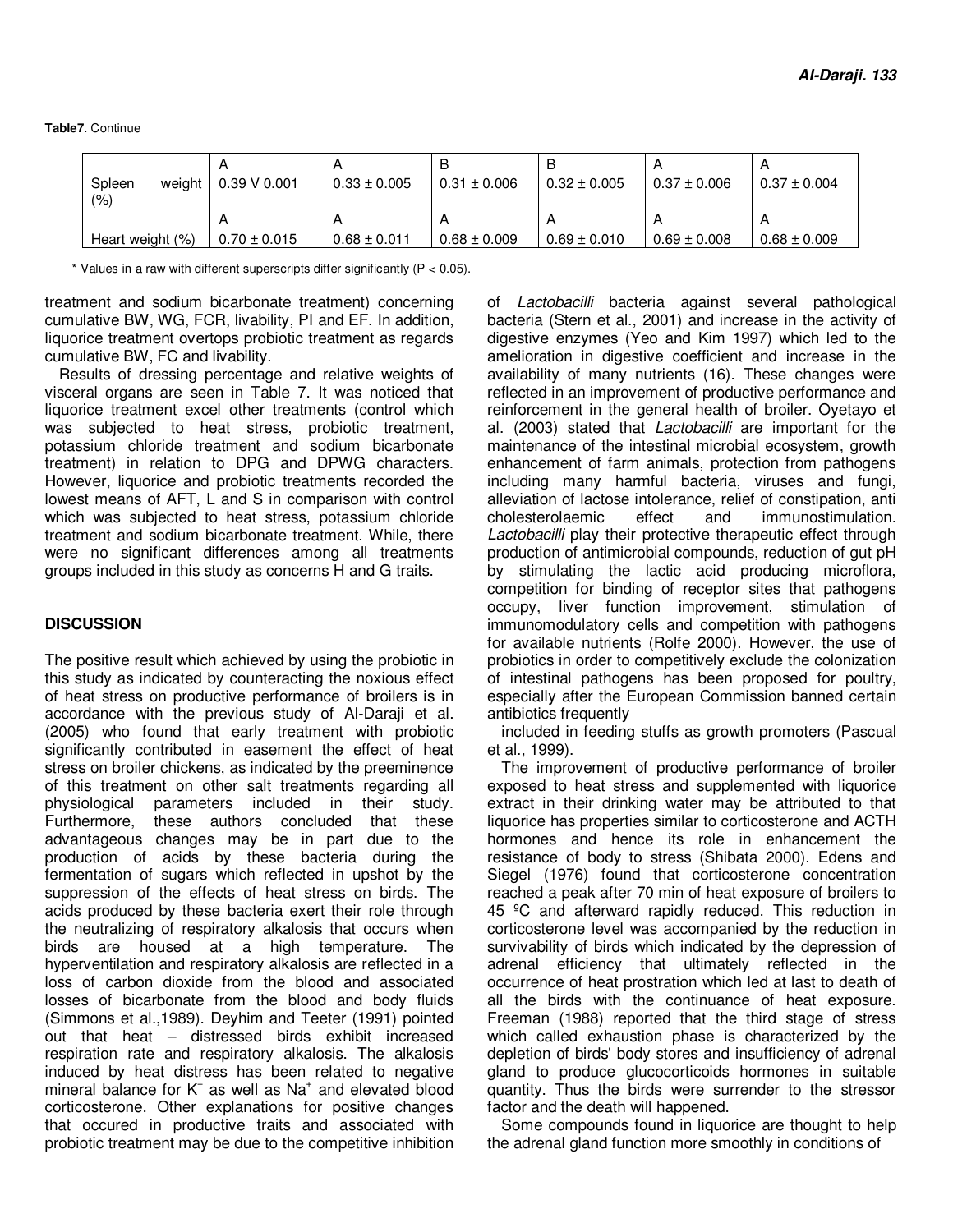| Spleen<br>weight<br>(%) | $0.39$ V $0.001$ | $0.33 \pm 0.005$ | $0.31 \pm 0.006$ | $0.32 \pm 0.005$ | $0.37 \pm 0.006$ | $0.37 \pm 0.004$ |
|-------------------------|------------------|------------------|------------------|------------------|------------------|------------------|
|                         |                  |                  |                  |                  |                  |                  |
| Heart weight (%)        | $0.70 \pm 0.015$ | $0.68 \pm 0.011$ | $0.68 \pm 0.009$ | $0.69 \pm 0.010$ | $0.69 \pm 0.008$ | $0.68 \pm 0.009$ |

 $*$  Values in a raw with different superscripts differ significantly ( $P < 0.05$ ).

treatment and sodium bicarbonate treatment) concerning cumulative BW, WG, FCR, livability, PI and EF. In addition, liquorice treatment overtops probiotic treatment as regards cumulative BW, FC and livability.

Results of dressing percentage and relative weights of visceral organs are seen in Table 7. It was noticed that liquorice treatment excel other treatments (control which was subjected to heat stress, probiotic treatment, potassium chloride treatment and sodium bicarbonate treatment) in relation to DPG and DPWG characters. However, liquorice and probiotic treatments recorded the lowest means of AFT, L and S in comparison with control which was subjected to heat stress, potassium chloride treatment and sodium bicarbonate treatment. While, there were no significant differences among all treatments groups included in this study as concerns H and G traits.

#### **DISCUSSION**

The positive result which achieved by using the probiotic in this study as indicated by counteracting the noxious effect of heat stress on productive performance of broilers is in accordance with the previous study of Al-Daraji et al. (2005) who found that early treatment with probiotic significantly contributed in easement the effect of heat stress on broiler chickens, as indicated by the preeminence of this treatment on other salt treatments regarding all physiological parameters included in their study. Furthermore, these authors concluded that these advantageous changes may be in part due to the production of acids by these bacteria during the fermentation of sugars which reflected in upshot by the suppression of the effects of heat stress on birds. The acids produced by these bacteria exert their role through the neutralizing of respiratory alkalosis that occurs when birds are housed at a high temperature. The hyperventilation and respiratory alkalosis are reflected in a loss of carbon dioxide from the blood and associated losses of bicarbonate from the blood and body fluids (Simmons et al.,1989). Deyhim and Teeter (1991) pointed out that heat – distressed birds exhibit increased respiration rate and respiratory alkalosis. The alkalosis induced by heat distress has been related to negative mineral balance for  $K^+$  as well as  $Na^+$  and elevated blood corticosterone. Other explanations for positive changes that occured in productive traits and associated with probiotic treatment may be due to the competitive inhibition

of *Lactobacilli* bacteria against several pathological bacteria (Stern et al., 2001) and increase in the activity of digestive enzymes (Yeo and Kim 1997) which led to the amelioration in digestive coefficient and increase in the availability of many nutrients (16). These changes were reflected in an improvement of productive performance and reinforcement in the general health of broiler. Oyetayo et al. (2003) stated that *Lactobacilli* are important for the maintenance of the intestinal microbial ecosystem, growth enhancement of farm animals, protection from pathogens including many harmful bacteria, viruses and fungi, alleviation of lactose intolerance, relief of constipation, anti cholesterolaemic effect and immunostimulation. *Lactobacilli* play their protective therapeutic effect through production of antimicrobial compounds, reduction of gut pH by stimulating the lactic acid producing microflora, competition for binding of receptor sites that pathogens occupy, liver function improvement, stimulation of immunomodulatory cells and competition with pathogens for available nutrients (Rolfe 2000). However, the use of probiotics in order to competitively exclude the colonization of intestinal pathogens has been proposed for poultry, especially after the European Commission banned certain antibiotics frequently

included in feeding stuffs as growth promoters (Pascual et al., 1999).

The improvement of productive performance of broiler exposed to heat stress and supplemented with liquorice extract in their drinking water may be attributed to that liquorice has properties similar to corticosterone and ACTH hormones and hence its role in enhancement the resistance of body to stress (Shibata 2000). Edens and Siegel (1976) found that corticosterone concentration reached a peak after 70 min of heat exposure of broilers to 45 <sup>o</sup>C and afterward rapidly reduced. This reduction in corticosterone level was accompanied by the reduction in survivability of birds which indicated by the depression of adrenal efficiency that ultimately reflected in the occurrence of heat prostration which led at last to death of all the birds with the continuance of heat exposure. Freeman (1988) reported that the third stage of stress which called exhaustion phase is characterized by the depletion of birds' body stores and insufficiency of adrenal gland to produce glucocorticoids hormones in suitable quantity. Thus the birds were surrender to the stressor factor and the death will happened.

Some compounds found in liquorice are thought to help the adrenal gland function more smoothly in conditions of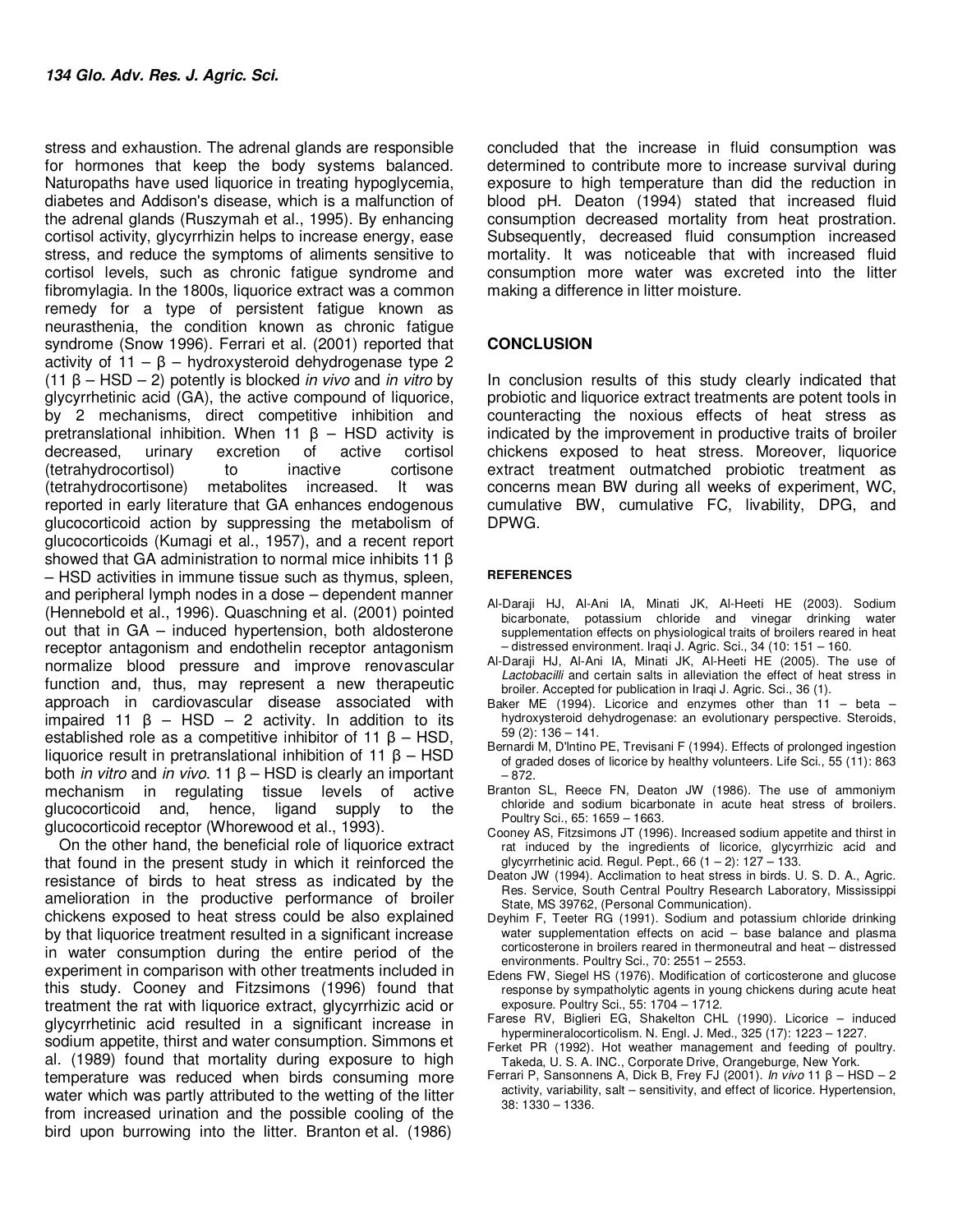stress and exhaustion. The adrenal glands are responsible for hormones that keep the body systems balanced. Naturopaths have used liquorice in treating hypoglycemia, diabetes and Addison's disease, which is a malfunction of the adrenal glands (Ruszymah et al., 1995). By enhancing cortisol activity, glycyrrhizin helps to increase energy, ease stress, and reduce the symptoms of aliments sensitive to cortisol levels, such as chronic fatigue syndrome and fibromylagia. In the 1800s, liquorice extract was a common remedy for a type of persistent fatigue known as neurasthenia, the condition known as chronic fatigue syndrome (Snow 1996). Ferrari et al. (2001) reported that activity of  $11 - \beta$  – hydroxysteroid dehydrogenase type 2 (11 β – HSD – 2) potently is blocked *in vivo* and *in vitro* by glycyrrhetinic acid (GA), the active compound of liquorice, by 2 mechanisms, direct competitive inhibition and pretranslational inhibition. When 11  $β$  – HSD activity is decreased, urinary excretion of active cortisol (tetrahydrocortisol) to inactive cortisone (tetrahydrocortisone) metabolites increased. It was reported in early literature that GA enhances endogenous glucocorticoid action by suppressing the metabolism of glucocorticoids (Kumagi et al., 1957), and a recent report showed that GA administration to normal mice inhibits 11 β – HSD activities in immune tissue such as thymus, spleen, and peripheral lymph nodes in a dose – dependent manner (Hennebold et al., 1996). Quaschning et al. (2001) pointed out that in GA – induced hypertension, both aldosterone receptor antagonism and endothelin receptor antagonism normalize blood pressure and improve renovascular function and, thus, may represent a new therapeutic approach in cardiovascular disease associated with impaired 11  $\beta$  – HSD – 2 activity. In addition to its established role as a competitive inhibitor of 11  $\beta$  – HSD, liquorice result in pretranslational inhibition of 11 β – HSD both *in vitro* and *in vivo*. 11 β – HSD is clearly an important mechanism in regulating tissue levels of active glucocorticoid and, hence, ligand supply to the glucocorticoid receptor (Whorewood et al., 1993).

On the other hand, the beneficial role of liquorice extract that found in the present study in which it reinforced the resistance of birds to heat stress as indicated by the amelioration in the productive performance of broiler chickens exposed to heat stress could be also explained by that liquorice treatment resulted in a significant increase in water consumption during the entire period of the experiment in comparison with other treatments included in this study. Cooney and Fitzsimons (1996) found that treatment the rat with liquorice extract, glycyrrhizic acid or glycyrrhetinic acid resulted in a significant increase in sodium appetite, thirst and water consumption. Simmons et al. (1989) found that mortality during exposure to high temperature was reduced when birds consuming more water which was partly attributed to the wetting of the litter from increased urination and the possible cooling of the bird upon burrowing into the litter. Branton et al. (1986)

concluded that the increase in fluid consumption was determined to contribute more to increase survival during exposure to high temperature than did the reduction in blood pH. Deaton (1994) stated that increased fluid consumption decreased mortality from heat prostration. Subsequently, decreased fluid consumption increased mortality. It was noticeable that with increased fluid consumption more water was excreted into the litter making a difference in litter moisture.

#### **CONCLUSION**

In conclusion results of this study clearly indicated that probiotic and liquorice extract treatments are potent tools in counteracting the noxious effects of heat stress as indicated by the improvement in productive traits of broiler chickens exposed to heat stress. Moreover, liquorice extract treatment outmatched probiotic treatment as concerns mean BW during all weeks of experiment, WC, cumulative BW, cumulative FC, livability, DPG, and DPWG.

#### **REFERENCES**

- Al-Daraji HJ, Al-Ani IA, Minati JK, Al-Heeti HE (2003). Sodium bicarbonate, potassium chloride and vinegar drinking water supplementation effects on physiological traits of broilers reared in heat – distressed environment. Iraqi J. Agric. Sci., 34 (10: 151 – 160.
- Al-Daraji HJ, Al-Ani IA, Minati JK, Al-Heeti HE (2005). The use of *Lactobacilli* and certain salts in alleviation the effect of heat stress in broiler. Accepted for publication in Iraqi J. Agric. Sci., 36 (1).
- Baker ME (1994). Licorice and enzymes other than  $11 \text{beta} \text{beta}$ hydroxysteroid dehydrogenase: an evolutionary perspective. Steroids, 59 (2): 136 – 141.
- Bernardi M, D'lntino PE, Trevisani F (1994). Effects of prolonged ingestion of graded doses of licorice by healthy volunteers. Life Sci., 55 (11): 863 – 872.
- Branton SL, Reece FN, Deaton JW (1986). The use of ammoniym chloride and sodium bicarbonate in acute heat stress of broilers. Poultry Sci., 65: 1659 – 1663.
- Cooney AS, Fitzsimons JT (1996). Increased sodium appetite and thirst in rat induced by the ingredients of licorice, glycyrrhizic acid and glycyrrhetinic acid. Regul. Pept., 66 (1 – 2): 127 – 133.
- Deaton JW (1994). Acclimation to heat stress in birds. U. S. D. A., Agric. Res. Service, South Central Poultry Research Laboratory, Mississippi State, MS 39762, (Personal Communication).
- Deyhim F, Teeter RG (1991). Sodium and potassium chloride drinking water supplementation effects on acid – base balance and plasma corticosterone in broilers reared in thermoneutral and heat – distressed environments. Poultry Sci., 70: 2551 – 2553.
- Edens FW, Siegel HS (1976). Modification of corticosterone and glucose response by sympatholytic agents in young chickens during acute heat exposure. Poultry Sci., 55: 1704 – 1712.
- Farese RV, Biglieri EG, Shakelton CHL (1990). Licorice induced hypermineralocorticolism. N. Engl. J. Med., 325 (17): 1223 – 1227.
- Ferket PR (1992). Hot weather management and feeding of poultry. Takeda, U. S. A. INC., Corporate Drive, Orangeburge, New York.
- Ferrari P, Sansonnens A, Dick B, Frey FJ (2001). *In vivo* 11 β HSD 2 activity, variability, salt – sensitivity, and effect of licorice. Hypertension, 38: 1330 – 1336.